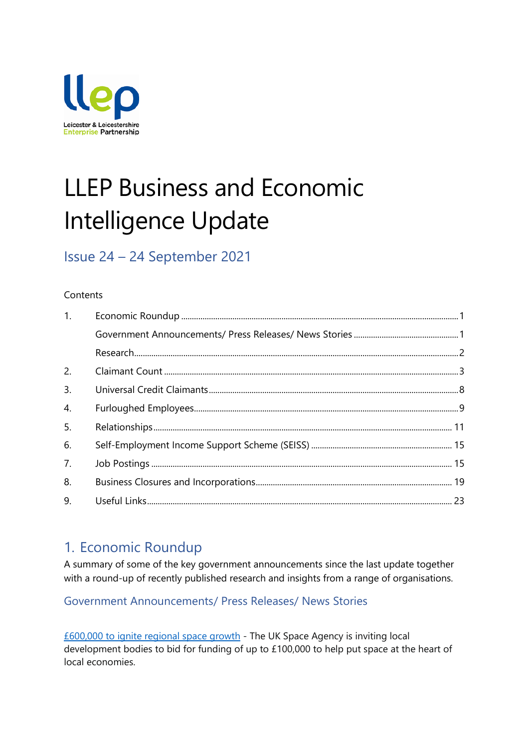

# LLEP Business and Economic Intelligence Update

# Issue 24 – 24 September 2021

### **Contents**

| 1. |  |
|----|--|
|    |  |
|    |  |
| 2. |  |
| 3. |  |
| 4. |  |
| 5. |  |
| 6. |  |
| 7. |  |
| 8. |  |
| 9. |  |

### <span id="page-0-0"></span>1. Economic Roundup

A summary of some of the key government announcements since the last update together with a round-up of recently published research and insights from a range of organisations.

### <span id="page-0-1"></span>Government Announcements/ Press Releases/ News Stories

[£600,000 to ignite regional space growth](https://www.gov.uk/government/news/600000-to-ignite-regional-space-growth) - The UK Space Agency is inviting local development bodies to bid for funding of up to £100,000 to help put space at the heart of local economies.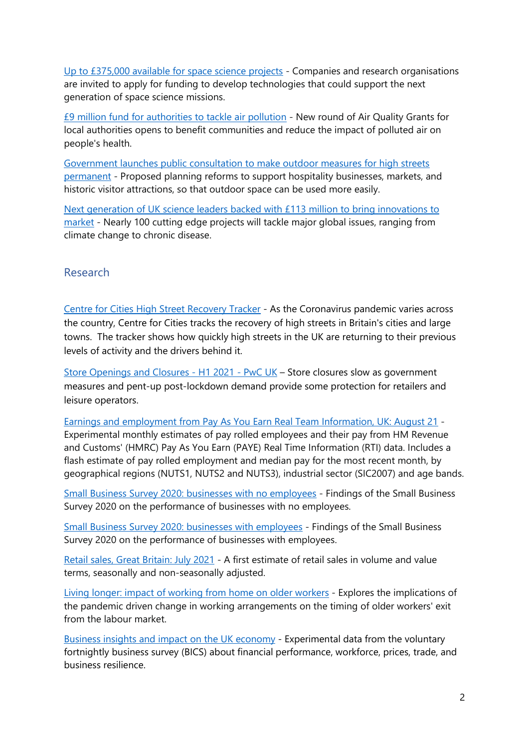[Up to £375,000 available for space science projects](https://www.gov.uk/government/news/up-to-375000-available-for-space-science-projects) - Companies and research organisations are invited to apply for funding to develop technologies that could support the next generation of space science missions.

[£9 million fund for authorities to tackle air pollution](https://www.gov.uk/government/news/9-million-fund-for-local-authorities-to-tackle-air-pollution) - New round of Air Quality Grants for local authorities opens to benefit communities and reduce the impact of polluted air on people's health.

[Government launches public consultation to make outdoor measures for high streets](https://www.gov.uk/government/news/government-launches-public-consultation-to-make-outdoor-measures-for-high-streets-permanent)  [permanent](https://www.gov.uk/government/news/government-launches-public-consultation-to-make-outdoor-measures-for-high-streets-permanent) - Proposed planning reforms to support hospitality businesses, markets, and historic visitor attractions, so that outdoor space can be used more easily.

[Next generation of UK science leaders backed with £113 million to bring innovations to](https://www.gov.uk/government/news/next-generation-of-uk-science-leaders-backed-with-113-million-to-bring-innovations-to-market)  [market](https://www.gov.uk/government/news/next-generation-of-uk-science-leaders-backed-with-113-million-to-bring-innovations-to-market) - Nearly 100 cutting edge projects will tackle major global issues, ranging from climate change to chronic disease.

### <span id="page-1-0"></span>Research

[Centre for Cities High Street Recovery Tracker](https://www.centreforcities.org/data/high-streets-recovery-tracker/) - As the Coronavirus pandemic varies across the country, Centre for Cities tracks the recovery of high streets in Britain's cities and large towns. The tracker shows how quickly high streets in the UK are returning to their previous levels of activity and the drivers behind it.

[Store Openings and Closures -](https://www.pwc.co.uk/industries/retail-consumer/insights/store-openings-and-closures.html) H1 2021 - PwC UK – Store closures slow as government measures and pent-up post-lockdown demand provide some protection for retailers and leisure operators.

[Earnings and employment from Pay As You Earn Real Team Information, UK: August 21](https://www.ons.gov.uk/employmentandlabourmarket/peopleinwork/earningsandworkinghours/bulletins/earningsandemploymentfrompayasyouearnrealtimeinformationuk/august2021) - Experimental monthly estimates of pay rolled employees and their pay from HM Revenue and Customs' (HMRC) Pay As You Earn (PAYE) Real Time Information (RTI) data. Includes a flash estimate of pay rolled employment and median pay for the most recent month, by geographical regions (NUTS1, NUTS2 and NUTS3), industrial sector (SIC2007) and age bands.

[Small Business Survey 2020: businesses with no employees](https://assets.publishing.service.gov.uk/government/uploads/system/uploads/attachment_data/file/1010728/LSBS_2020_non_employers.pdf) - Findings of the Small Business Survey 2020 on the performance of businesses with no employees.

[Small Business Survey 2020: businesses with employees](https://assets.publishing.service.gov.uk/government/uploads/system/uploads/attachment_data/file/1010738/LSBS_2020_SME_Employers.pdf) - Findings of the Small Business Survey 2020 on the performance of businesses with employees.

[Retail sales, Great Britain: July 2021](https://www.ons.gov.uk/businessindustryandtrade/retailindustry/bulletins/retailsales/july2021) - A first estimate of retail sales in volume and value terms, seasonally and non-seasonally adjusted.

[Living longer: impact of working from home on older workers](https://www.ons.gov.uk/peoplepopulationandcommunity/birthsdeathsandmarriages/ageing/articles/livinglongerimpactofworkingfromhomeonolderworkers/2021-08-25) - Explores the implications of the pandemic driven change in working arrangements on the timing of older workers' exit from the labour market.

Business insights and impact on the UK [economy](https://www.ons.gov.uk/businessindustryandtrade/business/businessservices/bulletins/businessinsightsandimpactontheukeconomy/26august2021) - Experimental data from the voluntary fortnightly business survey (BICS) about financial performance, workforce, prices, trade, and business resilience.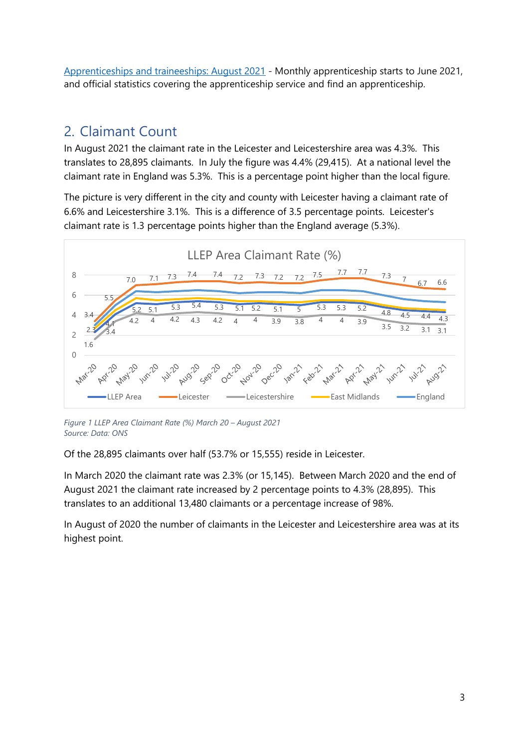[Apprenticeships and traineeships: August 2021](https://www.gov.uk/government/statistics/apprenticeships-and-traineeships-august-2021) - Monthly apprenticeship starts to June 2021, and official statistics covering the apprenticeship service and find an apprenticeship.

### <span id="page-2-0"></span>2. Claimant Count

In August 2021 the claimant rate in the Leicester and Leicestershire area was 4.3%. This translates to 28,895 claimants. In July the figure was 4.4% (29,415). At a national level the claimant rate in England was 5.3%. This is a percentage point higher than the local figure.

The picture is very different in the city and county with Leicester having a claimant rate of 6.6% and Leicestershire 3.1%. This is a difference of 3.5 percentage points. Leicester's claimant rate is 1.3 percentage points higher than the England average (5.3%).



*Figure 1 LLEP Area Claimant Rate (%) March 20 – August 2021 Source: Data: ONS*

Of the 28,895 claimants over half (53.7% or 15,555) reside in Leicester.

In March 2020 the claimant rate was 2.3% (or 15,145). Between March 2020 and the end of August 2021 the claimant rate increased by 2 percentage points to 4.3% (28,895). This translates to an additional 13,480 claimants or a percentage increase of 98%.

In August of 2020 the number of claimants in the Leicester and Leicestershire area was at its highest point.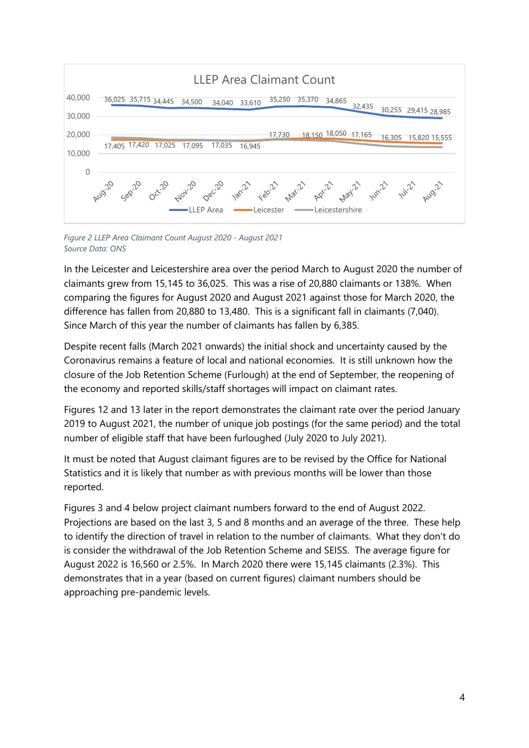

*Figure 2 LLEP Area Claimant Count August 2020 - August 2021 Source Data: ONS*

In the Leicester and Leicestershire area over the period March to August 2020 the number of claimants grew from 15,145 to 36,025. This was a rise of 20,880 claimants or 138%. When comparing the figures for August 2020 and August 2021 against those for March 2020, the difference has fallen from 20,880 to 13,480. This is a significant fall in claimants (7,040). Since March of this year the number of claimants has fallen by 6,385.

Despite recent falls (March 2021 onwards) the initial shock and uncertainty caused by the Coronavirus remains a feature of local and national economies. It is still unknown how the closure of the Job Retention Scheme (Furlough) at the end of September, the reopening of the economy and reported skills/staff shortages will impact on claimant rates.

Figures 12 and 13 later in the report demonstrates the claimant rate over the period January 2019 to August 2021, the number of unique job postings (for the same period) and the total number of eligible staff that have been furloughed (July 2020 to July 2021).

It must be noted that August claimant figures are to be revised by the Office for National Statistics and it is likely that number as with previous months will be lower than those reported.

Figures 3 and 4 below project claimant numbers forward to the end of August 2022. Projections are based on the last 3, 5 and 8 months and an average of the three. These help to identify the direction of travel in relation to the number of claimants. What they don't do is consider the withdrawal of the Job Retention Scheme and SEISS. The average figure for August 2022 is 16,560 or 2.5%. In March 2020 there were 15,145 claimants (2.3%). This demonstrates that in a year (based on current figures) claimant numbers should be approaching pre-pandemic levels.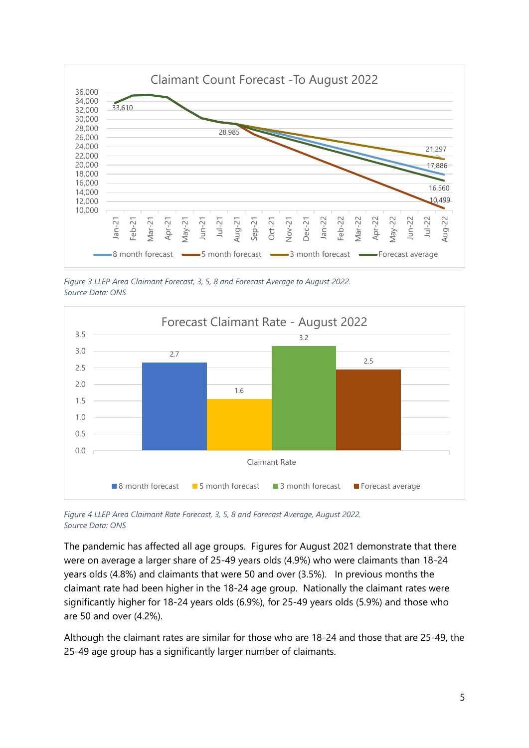

*Figure 3 LLEP Area Claimant Forecast, 3, 5, 8 and Forecast Average to August 2022. Source Data: ONS*



*Figure 4 LLEP Area Claimant Rate Forecast, 3, 5, 8 and Forecast Average, August 2022. Source Data: ONS*

The pandemic has affected all age groups. Figures for August 2021 demonstrate that there were on average a larger share of 25-49 years olds (4.9%) who were claimants than 18-24 years olds (4.8%) and claimants that were 50 and over (3.5%). In previous months the claimant rate had been higher in the 18-24 age group. Nationally the claimant rates were significantly higher for 18-24 years olds (6.9%), for 25-49 years olds (5.9%) and those who are 50 and over (4.2%).

Although the claimant rates are similar for those who are 18-24 and those that are 25-49, the 25-49 age group has a significantly larger number of claimants.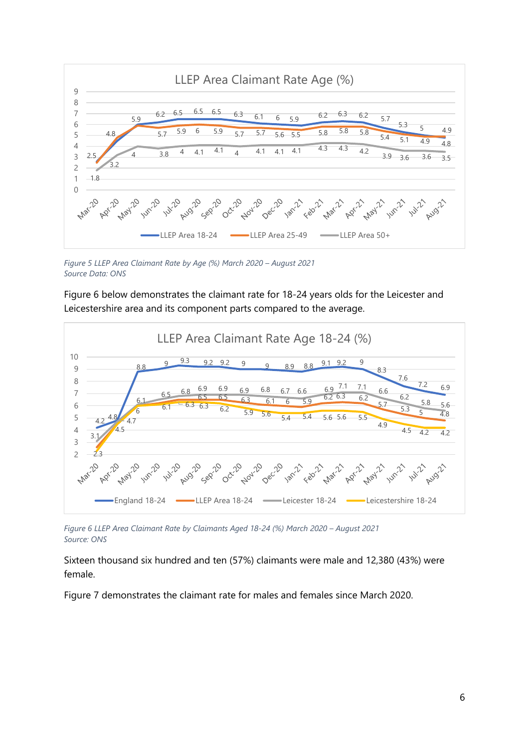

*Figure 5 LLEP Area Claimant Rate by Age (%) March 2020 – August 2021 Source Data: ONS*

Figure 6 below demonstrates the claimant rate for 18-24 years olds for the Leicester and Leicestershire area and its component parts compared to the average.



*Figure 6 LLEP Area Claimant Rate by Claimants Aged 18-24 (%) March 2020 – August 2021 Source: ONS*

Sixteen thousand six hundred and ten (57%) claimants were male and 12,380 (43%) were female.

Figure 7 demonstrates the claimant rate for males and females since March 2020.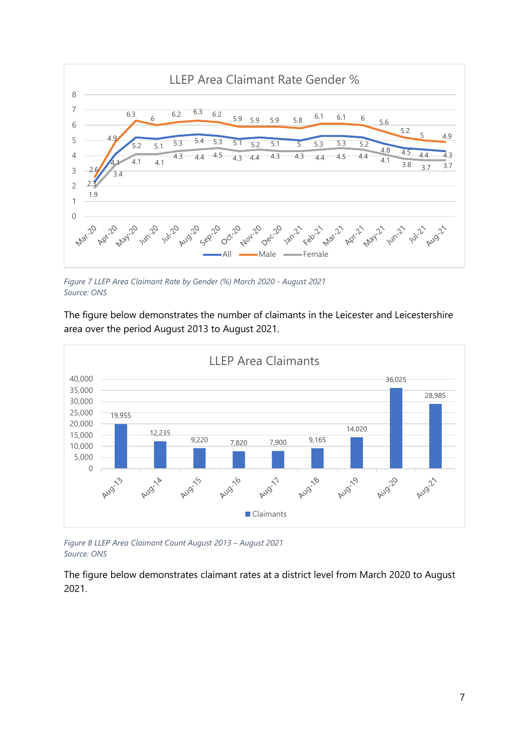

*Figure 7 LLEP Area Claimant Rate by Gender (%) March 2020 - August 2021 Source: ONS*

The figure below demonstrates the number of claimants in the Leicester and Leicestershire area over the period August 2013 to August 2021.



*Figure 8 LLEP Area Claimant Count August 2013 – August 2021 Source: ONS*

The figure below demonstrates claimant rates at a district level from March 2020 to August 2021.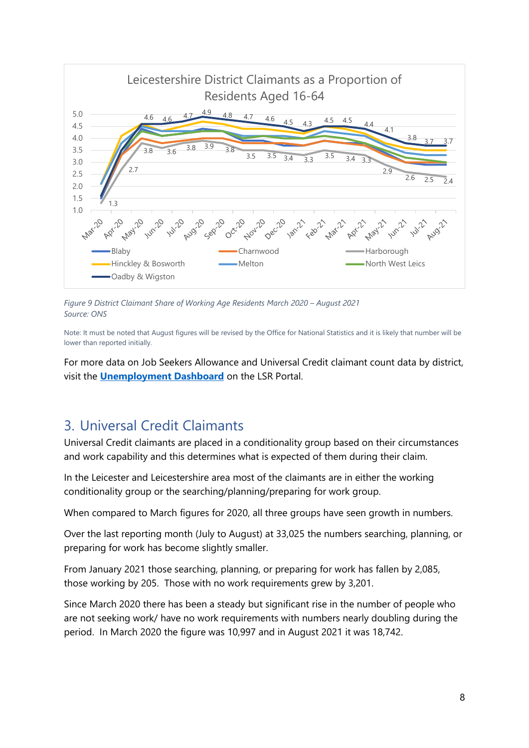

*Figure 9 District Claimant Share of Working Age Residents March 2020 – August 2021 Source: ONS*

Note: It must be noted that August figures will be revised by the Office for National Statistics and it is likely that number will be lower than reported initially.

For more data on Job Seekers Allowance and Universal Credit claimant count data by district, visit the **[Unemployment Dashboard](https://public.tableau.com/profile/r.i.team.leicestershire.county.council#!/vizhome/UnemploymentDashboard_4/JSA)** on the LSR Portal.

# <span id="page-7-0"></span>3. Universal Credit Claimants

Universal Credit claimants are placed in a conditionality group based on their circumstances and work capability and this determines what is expected of them during their claim.

In the Leicester and Leicestershire area most of the claimants are in either the working conditionality group or the searching/planning/preparing for work group.

When compared to March figures for 2020, all three groups have seen growth in numbers.

Over the last reporting month (July to August) at 33,025 the numbers searching, planning, or preparing for work has become slightly smaller.

From January 2021 those searching, planning, or preparing for work has fallen by 2,085, those working by 205. Those with no work requirements grew by 3,201.

Since March 2020 there has been a steady but significant rise in the number of people who are not seeking work/ have no work requirements with numbers nearly doubling during the period. In March 2020 the figure was 10,997 and in August 2021 it was 18,742.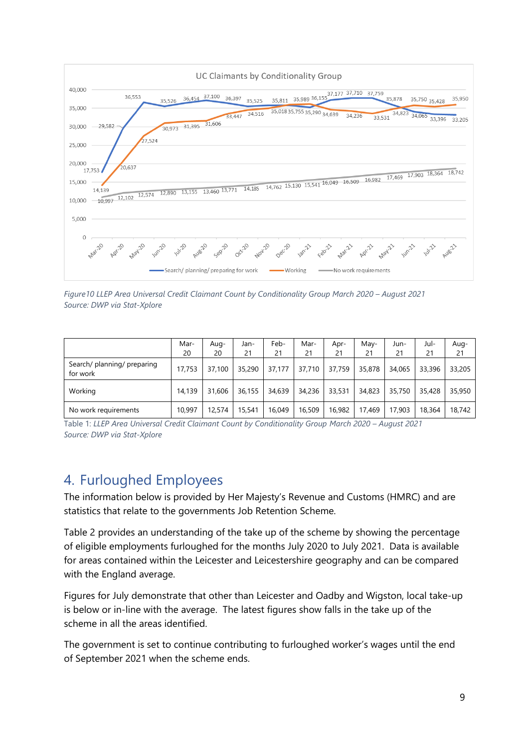

*Figure10 LLEP Area Universal Credit Claimant Count by Conditionality Group March 2020 – August 2021 Source: DWP via Stat-Xplore* 

|                                         | Mar-<br>20 | -Aug<br>20 | Jan-<br>21 | Feb-<br>21 | Mar-<br>21 | Apr-<br>21 | May-<br>21 | Jun-<br>21 | Jul-<br>21 | Aug-<br>21 |
|-----------------------------------------|------------|------------|------------|------------|------------|------------|------------|------------|------------|------------|
| Search/ planning/ preparing<br>for work | 17,753     | 37,100     | 35,290     | 37,177     | 37,710     | 37,759     | 35,878     | 34,065     | 33,396     | 33,205     |
| Working                                 | 14,139     | 31,606     | 36,155     | 34,639     | 34,236     | 33,531     | 34,823     | 35,750     | 35,428     | 35,950     |
| No work requirements                    | 10.997     | 12,574     | 15,541     | 16,049     | 16,509     | 16.982     | 17,469     | 17,903     | 18,364     | 18,742     |

Table 1: *LLEP Area Universal Credit Claimant Count by Conditionality Group March 2020 – August 2021 Source: DWP via Stat-Xplore* 

# <span id="page-8-0"></span>4. Furloughed Employees

The information below is provided by Her Majesty's Revenue and Customs (HMRC) and are statistics that relate to the governments Job Retention Scheme.

Table 2 provides an understanding of the take up of the scheme by showing the percentage of eligible employments furloughed for the months July 2020 to July 2021. Data is available for areas contained within the Leicester and Leicestershire geography and can be compared with the England average.

Figures for July demonstrate that other than Leicester and Oadby and Wigston, local take-up is below or in-line with the average. The latest figures show falls in the take up of the scheme in all the areas identified.

The government is set to continue contributing to furloughed worker's wages until the end of September 2021 when the scheme ends.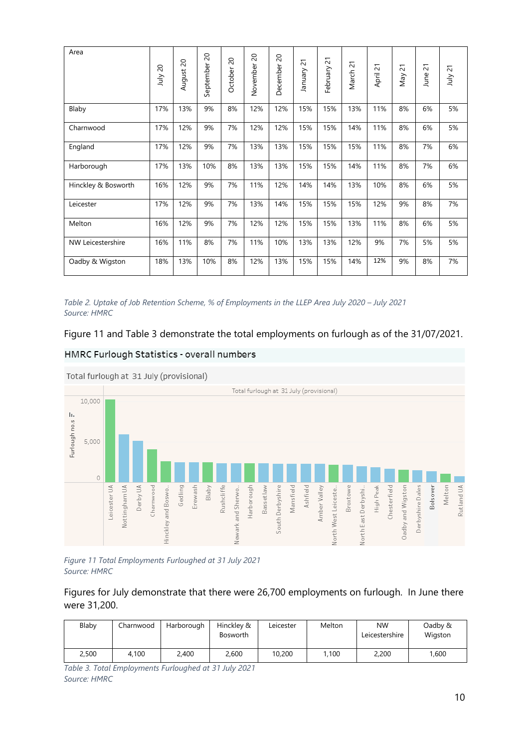| Area                | $\overline{\mathcal{S}}$<br>ylnr | $\infty$<br>August | $\Omega$<br>September | 20<br>October | $\overline{c}$<br>November | $\overline{c}$<br>December | $\overline{c}$<br>Vienuel | 21<br>February | $\overline{c}$<br>March <sup>3</sup> | $\overline{\phantom{0}}$<br>$\sim$<br>April | $\overline{c}$<br>Vay | $\overline{2}$<br>June | 21<br>ylnr |
|---------------------|----------------------------------|--------------------|-----------------------|---------------|----------------------------|----------------------------|---------------------------|----------------|--------------------------------------|---------------------------------------------|-----------------------|------------------------|------------|
| Blaby               | 17%                              | 13%                | 9%                    | 8%            | 12%                        | 12%                        | 15%                       | 15%            | 13%                                  | 11%                                         | 8%                    | 6%                     | 5%         |
| Charnwood           | 17%                              | 12%                | 9%                    | 7%            | 12%                        | 12%                        | 15%                       | 15%            | 14%                                  | 11%                                         | 8%                    | 6%                     | 5%         |
| England             | 17%                              | 12%                | 9%                    | 7%            | 13%                        | 13%                        | 15%                       | 15%            | 15%                                  | 11%                                         | 8%                    | 7%                     | 6%         |
| Harborough          | 17%                              | 13%                | 10%                   | 8%            | 13%                        | 13%                        | 15%                       | 15%            | 14%                                  | 11%                                         | 8%                    | 7%                     | 6%         |
| Hinckley & Bosworth | 16%                              | 12%                | 9%                    | 7%            | 11%                        | 12%                        | 14%                       | 14%            | 13%                                  | 10%                                         | 8%                    | 6%                     | 5%         |
| Leicester           | 17%                              | 12%                | 9%                    | 7%            | 13%                        | 14%                        | 15%                       | 15%            | 15%                                  | 12%                                         | 9%                    | 8%                     | 7%         |
| Melton              | 16%                              | 12%                | 9%                    | 7%            | 12%                        | 12%                        | 15%                       | 15%            | 13%                                  | 11%                                         | 8%                    | 6%                     | 5%         |
| NW Leicestershire   | 16%                              | 11%                | 8%                    | 7%            | 11%                        | 10%                        | 13%                       | 13%            | 12%                                  | 9%                                          | 7%                    | 5%                     | 5%         |
| Oadby & Wigston     | 18%                              | 13%                | 10%                   | 8%            | 12%                        | 13%                        | 15%                       | 15%            | 14%                                  | 12%                                         | 9%                    | 8%                     | 7%         |

*Table 2. Uptake of Job Retention Scheme, % of Employments in the LLEP Area July 2020 – July 2021 Source: HMRC*

Figure 11 and Table 3 demonstrate the total employments on furlough as of the 31/07/2021.





Total furlough at 31 July (provisional)

*Figure 11 Total Employments Furloughed at 31 July 2021 Source: HMRC*

Figures for July demonstrate that there were 26,700 employments on furlough. In June there were 31,200.

| Blaby | Charnwood | Harborough | Hinckley &<br><b>Bosworth</b> | Leicester | Melton | <b>NW</b><br>Leicestershire | Oadby &<br>Wigston |
|-------|-----------|------------|-------------------------------|-----------|--------|-----------------------------|--------------------|
| 2,500 | 4.100     | 2.400      | 2.600                         | 10,200    | .100   | 2,200                       | 1,600              |

*Table 3. Total Employments Furloughed at 31 July 2021 Source: HMRC*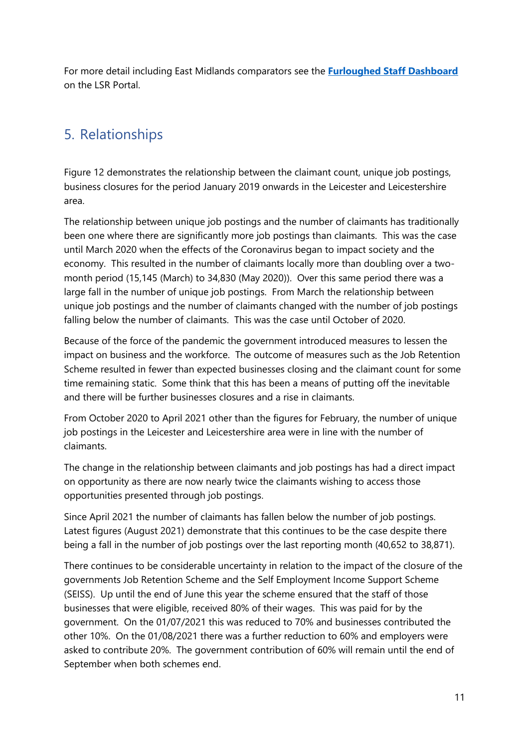For more detail including East Midlands comparators see the **[Furloughed Staff Dashboard](https://public.tableau.com/profile/r.i.team.leicestershire.county.council#!/vizhome/Covid-19Furloughedstaff/Furloughedstaffdata)** on the LSR Portal.

# <span id="page-10-0"></span>5. Relationships

Figure 12 demonstrates the relationship between the claimant count, unique job postings, business closures for the period January 2019 onwards in the Leicester and Leicestershire area.

The relationship between unique job postings and the number of claimants has traditionally been one where there are significantly more job postings than claimants. This was the case until March 2020 when the effects of the Coronavirus began to impact society and the economy. This resulted in the number of claimants locally more than doubling over a twomonth period (15,145 (March) to 34,830 (May 2020)). Over this same period there was a large fall in the number of unique job postings. From March the relationship between unique job postings and the number of claimants changed with the number of job postings falling below the number of claimants. This was the case until October of 2020.

Because of the force of the pandemic the government introduced measures to lessen the impact on business and the workforce. The outcome of measures such as the Job Retention Scheme resulted in fewer than expected businesses closing and the claimant count for some time remaining static. Some think that this has been a means of putting off the inevitable and there will be further businesses closures and a rise in claimants.

From October 2020 to April 2021 other than the figures for February, the number of unique job postings in the Leicester and Leicestershire area were in line with the number of claimants.

The change in the relationship between claimants and job postings has had a direct impact on opportunity as there are now nearly twice the claimants wishing to access those opportunities presented through job postings.

Since April 2021 the number of claimants has fallen below the number of job postings. Latest figures (August 2021) demonstrate that this continues to be the case despite there being a fall in the number of job postings over the last reporting month (40,652 to 38,871).

There continues to be considerable uncertainty in relation to the impact of the closure of the governments Job Retention Scheme and the Self Employment Income Support Scheme (SEISS). Up until the end of June this year the scheme ensured that the staff of those businesses that were eligible, received 80% of their wages. This was paid for by the government. On the 01/07/2021 this was reduced to 70% and businesses contributed the other 10%. On the 01/08/2021 there was a further reduction to 60% and employers were asked to contribute 20%. The government contribution of 60% will remain until the end of September when both schemes end.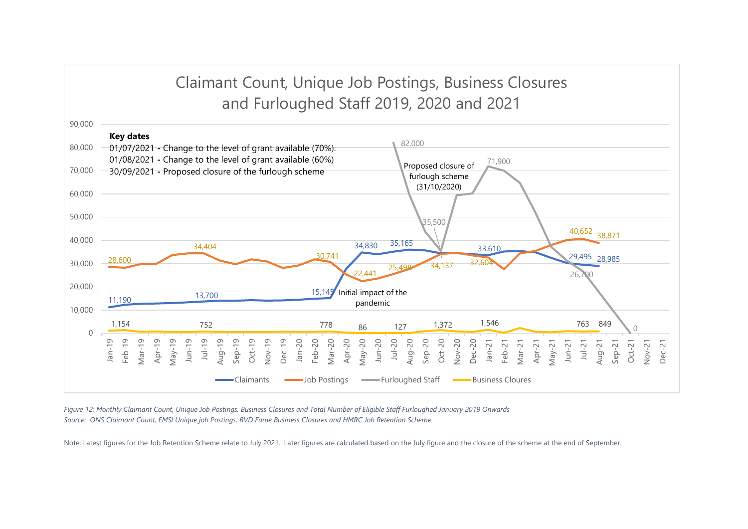# Claimant Count, Unique Job Postings, Business Closures and Furloughed Staff 2019, 2020 and 2021



*Figure 12: Monthly Claimant Count, Unique Job Postings, Business Closures and Total Number of Eligible Staff Furloughed January 2019 Onwards Source: ONS Claimant Count, EMSI Unique job Postings, BVD Fame Business Closures and HMRC Job Retention Scheme*

Note: Latest figures for the Job Retention Scheme relate to July 2021. Later figures are calculated based on the July figure and the closure of the scheme at the end of September.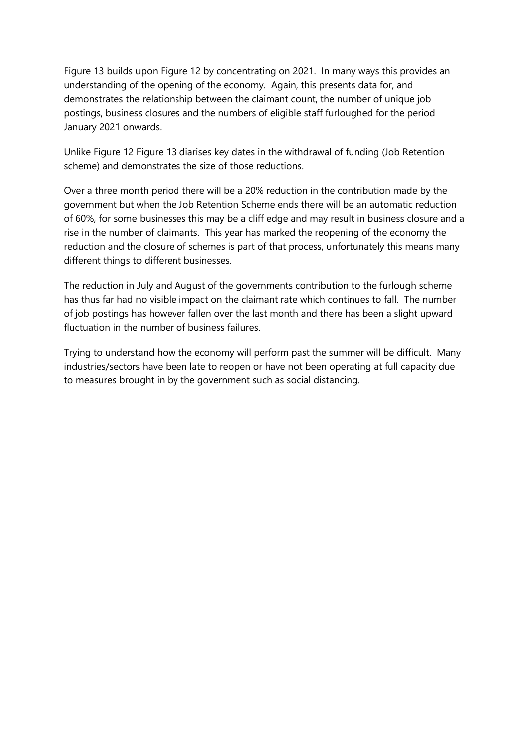Figure 13 builds upon Figure 12 by concentrating on 2021. In many ways this provides an understanding of the opening of the economy. Again, this presents data for, and demonstrates the relationship between the claimant count, the number of unique job postings, business closures and the numbers of eligible staff furloughed for the period January 2021 onwards.

Unlike Figure 12 Figure 13 diarises key dates in the withdrawal of funding (Job Retention scheme) and demonstrates the size of those reductions.

Over a three month period there will be a 20% reduction in the contribution made by the government but when the Job Retention Scheme ends there will be an automatic reduction of 60%, for some businesses this may be a cliff edge and may result in business closure and a rise in the number of claimants. This year has marked the reopening of the economy the reduction and the closure of schemes is part of that process, unfortunately this means many different things to different businesses.

The reduction in July and August of the governments contribution to the furlough scheme has thus far had no visible impact on the claimant rate which continues to fall. The number of job postings has however fallen over the last month and there has been a slight upward fluctuation in the number of business failures.

Trying to understand how the economy will perform past the summer will be difficult. Many industries/sectors have been late to reopen or have not been operating at full capacity due to measures brought in by the government such as social distancing.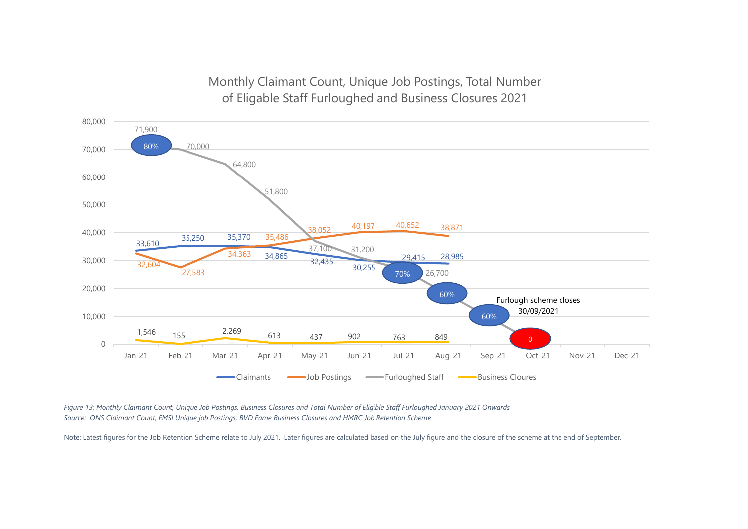

*Figure 13: Monthly Claimant Count, Unique Job Postings, Business Closures and Total Number of Eligible Staff Furloughed January 2021 Onwards Source: ONS Claimant Count, EMSI Unique job Postings, BVD Fame Business Closures and HMRC Job Retention Scheme* 

Note: Latest figures for the Job Retention Scheme relate to July 2021. Later figures are calculated based on the July figure and the closure of the scheme at the end of September.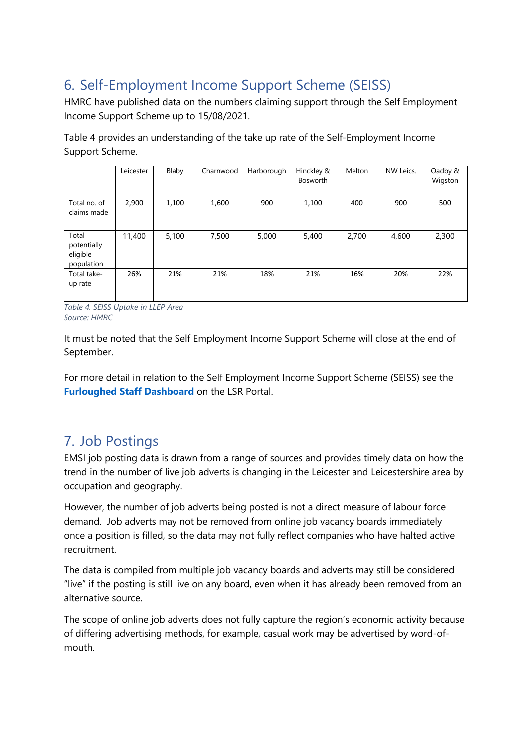# <span id="page-14-0"></span>6. Self-Employment Income Support Scheme (SEISS)

HMRC have published data on the numbers claiming support through the Self Employment Income Support Scheme up to 15/08/2021.

Table 4 provides an understanding of the take up rate of the Self-Employment Income Support Scheme.

|                                                | Leicester | Blaby | Charnwood | Harborough | Hinckley &<br><b>Bosworth</b> | Melton | NW Leics. | Oadby &<br>Wigston |
|------------------------------------------------|-----------|-------|-----------|------------|-------------------------------|--------|-----------|--------------------|
| Total no. of<br>claims made                    | 2,900     | 1,100 | 1,600     | 900        | 1,100                         | 400    | 900       | 500                |
| Total<br>potentially<br>eligible<br>population | 11,400    | 5,100 | 7,500     | 5,000      | 5,400                         | 2,700  | 4,600     | 2,300              |
| Total take-<br>up rate                         | 26%       | 21%   | 21%       | 18%        | 21%                           | 16%    | 20%       | 22%                |

*Table 4. SEISS Uptake in LLEP Area Source: HMRC*

It must be noted that the Self Employment Income Support Scheme will close at the end of September.

For more detail in relation to the Self Employment Income Support Scheme (SEISS) see the **[Furloughed Staff Dashboard](https://public.tableau.com/app/profile/r.i.team.leicestershire.county.council/viz/HMRCFurloughdata/FurloughNumbers)** on the LSR Portal.

# <span id="page-14-1"></span>7. Job Postings

EMSI job posting data is drawn from a range of sources and provides timely data on how the trend in the number of live job adverts is changing in the Leicester and Leicestershire area by occupation and geography.

However, the number of job adverts being posted is not a direct measure of labour force demand. Job adverts may not be removed from online job vacancy boards immediately once a position is filled, so the data may not fully reflect companies who have halted active recruitment.

The data is compiled from multiple job vacancy boards and adverts may still be considered "live" if the posting is still live on any board, even when it has already been removed from an alternative source.

The scope of online job adverts does not fully capture the region's economic activity because of differing advertising methods, for example, casual work may be advertised by word-ofmouth.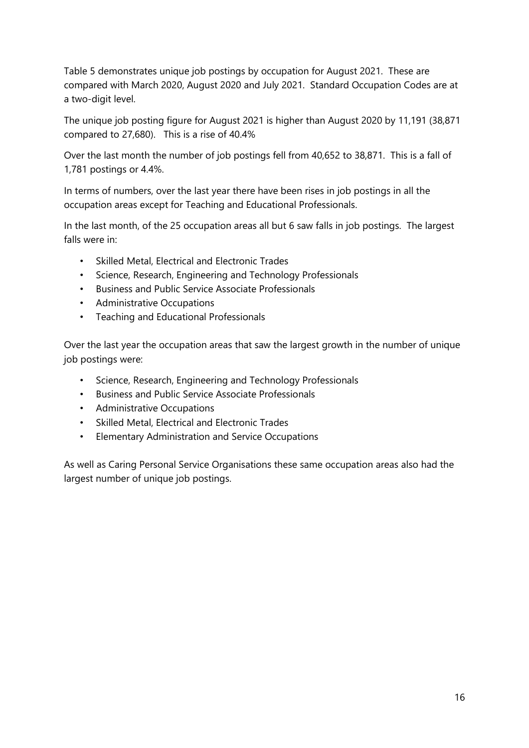Table 5 demonstrates unique job postings by occupation for August 2021. These are compared with March 2020, August 2020 and July 2021. Standard Occupation Codes are at a two-digit level.

The unique job posting figure for August 2021 is higher than August 2020 by 11,191 (38,871 compared to 27,680). This is a rise of 40.4%

Over the last month the number of job postings fell from 40,652 to 38,871. This is a fall of 1,781 postings or 4.4%.

In terms of numbers, over the last year there have been rises in job postings in all the occupation areas except for Teaching and Educational Professionals.

In the last month, of the 25 occupation areas all but 6 saw falls in job postings. The largest falls were in:

- Skilled Metal, Electrical and Electronic Trades
- Science, Research, Engineering and Technology Professionals
- Business and Public Service Associate Professionals
- Administrative Occupations
- Teaching and Educational Professionals

Over the last year the occupation areas that saw the largest growth in the number of unique job postings were:

- Science, Research, Engineering and Technology Professionals
- Business and Public Service Associate Professionals
- Administrative Occupations
- Skilled Metal, Electrical and Electronic Trades
- Elementary Administration and Service Occupations

As well as Caring Personal Service Organisations these same occupation areas also had the largest number of unique job postings.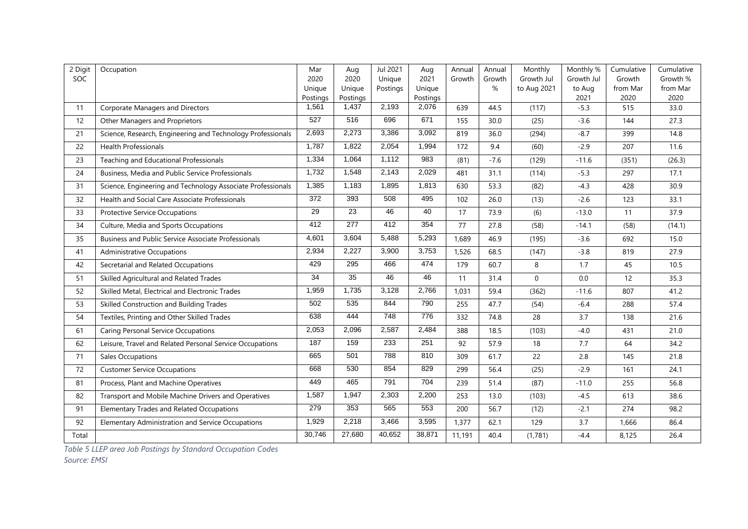| 2 Digit | Occupation                                                  | Mar               | Aug               | Jul 2021 | Aug               | Annual | Annual | Monthly     | Monthly %      | Cumulative       | Cumulative       |
|---------|-------------------------------------------------------------|-------------------|-------------------|----------|-------------------|--------|--------|-------------|----------------|------------------|------------------|
| SOC     |                                                             | 2020              | 2020              | Unique   | 2021              | Growth | Growth | Growth Jul  | Growth Jul     | Growth           | Growth %         |
|         |                                                             | Unique            | Unique            | Postings | Unique            |        | %      | to Aug 2021 | to Aug<br>2021 | from Mar<br>2020 | from Mar<br>2020 |
| 11      | <b>Corporate Managers and Directors</b>                     | Postings<br>1,561 | Postings<br>1,437 | 2,193    | Postings<br>2,076 | 639    | 44.5   | (117)       | $-5.3$         | 515              | 33.0             |
| 12      | Other Managers and Proprietors                              | 527               | 516               | 696      | 671               | 155    | 30.0   | (25)        | $-3.6$         | 144              | 27.3             |
| 21      | Science, Research, Engineering and Technology Professionals | 2,693             | 2,273             | 3,386    | 3,092             | 819    | 36.0   | (294)       | $-8.7$         | 399              | 14.8             |
|         |                                                             |                   |                   |          |                   |        |        |             |                |                  |                  |
| 22      | <b>Health Professionals</b>                                 | 1,787             | 1,822             | 2,054    | 1,994             | 172    | 9.4    | (60)        | $-2.9$         | 207              | 11.6             |
| 23      | Teaching and Educational Professionals                      | 1,334             | 1,064             | 1,112    | 983               | (81)   | $-7.6$ | (129)       | $-11.6$        | (351)            | (26.3)           |
| 24      | Business, Media and Public Service Professionals            | 1,732             | 1,548             | 2,143    | 2,029             | 481    | 31.1   | (114)       | $-5.3$         | 297              | 17.1             |
| 31      | Science, Engineering and Technology Associate Professionals | 1,385             | 1,183             | 1,895    | 1,813             | 630    | 53.3   | (82)        | $-4.3$         | 428              | 30.9             |
| 32      | Health and Social Care Associate Professionals              | 372               | 393               | 508      | 495               | 102    | 26.0   | (13)        | $-2.6$         | 123              | 33.1             |
| 33      | Protective Service Occupations                              | 29                | 23                | 46       | 40                | 17     | 73.9   | (6)         | $-13.0$        | 11               | 37.9             |
| 34      | Culture, Media and Sports Occupations                       | 412               | 277               | 412      | 354               | 77     | 27.8   | (58)        | $-14.1$        | (58)             | (14.1)           |
| 35      | Business and Public Service Associate Professionals         | 4,601             | 3,604             | 5,488    | 5,293             | 1,689  | 46.9   | (195)       | $-3.6$         | 692              | 15.0             |
| 41      | <b>Administrative Occupations</b>                           | 2,934             | 2,227             | 3,900    | 3,753             | 1,526  | 68.5   | (147)       | $-3.8$         | 819              | 27.9             |
| 42      | Secretarial and Related Occupations                         | 429               | 295               | 466      | 474               | 179    | 60.7   | 8           | 1.7            | 45               | 10.5             |
| 51      | Skilled Agricultural and Related Trades                     | 34                | 35                | 46       | 46                | 11     | 31.4   | $\mathbf 0$ | 0.0            | 12               | 35.3             |
| 52      | Skilled Metal, Electrical and Electronic Trades             | 1,959             | 1,735             | 3,128    | 2,766             | 1,031  | 59.4   | (362)       | $-11.6$        | 807              | 41.2             |
| 53      | Skilled Construction and Building Trades                    | 502               | 535               | 844      | 790               | 255    | 47.7   | (54)        | $-6.4$         | 288              | 57.4             |
| 54      | Textiles, Printing and Other Skilled Trades                 | 638               | 444               | 748      | 776               | 332    | 74.8   | 28          | 3.7            | 138              | 21.6             |
| 61      | <b>Caring Personal Service Occupations</b>                  | 2,053             | 2,096             | 2,587    | 2,484             | 388    | 18.5   | (103)       | $-4.0$         | 431              | 21.0             |
| 62      | Leisure, Travel and Related Personal Service Occupations    | 187               | 159               | 233      | 251               | 92     | 57.9   | 18          | 7.7            | 64               | 34.2             |
| 71      | Sales Occupations                                           | 665               | 501               | 788      | 810               | 309    | 61.7   | 22          | 2.8            | 145              | 21.8             |
| 72      | <b>Customer Service Occupations</b>                         | 668               | 530               | 854      | 829               | 299    | 56.4   | (25)        | $-2.9$         | 161              | 24.1             |
| 81      | Process, Plant and Machine Operatives                       | 449               | 465               | 791      | 704               | 239    | 51.4   | (87)        | $-11.0$        | 255              | 56.8             |
| 82      | Transport and Mobile Machine Drivers and Operatives         | 1,587             | 1,947             | 2,303    | 2,200             | 253    | 13.0   | (103)       | $-4.5$         | 613              | 38.6             |
| 91      | <b>Elementary Trades and Related Occupations</b>            | 279               | 353               | 565      | 553               | 200    | 56.7   | (12)        | $-2.1$         | 274              | 98.2             |
| 92      | Elementary Administration and Service Occupations           | 1,929             | 2,218             | 3,466    | 3,595             | 1,377  | 62.1   | 129         | 3.7            | 1,666            | 86.4             |
| Total   |                                                             | 30,746            | 27,680            | 40,652   | 38,871            | 11,191 | 40.4   | (1,781)     | $-4.4$         | 8,125            | 26.4             |

*Table 5 LLEP area Job Postings by Standard Occupation Codes*

*Source: EMSI*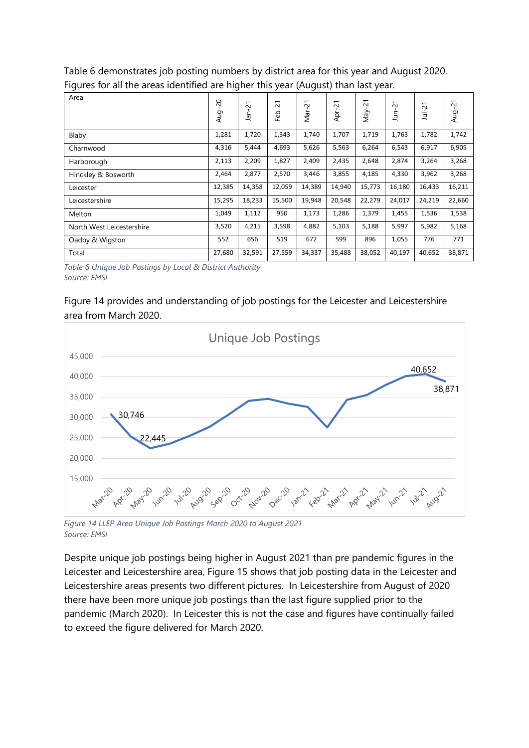Table 6 demonstrates job posting numbers by district area for this year and August 2020. Figures for all the areas identified are higher this year (August) than last year.

| -                         |                | ັ        |                                      | -      |                        |           |           |                                 |                        |
|---------------------------|----------------|----------|--------------------------------------|--------|------------------------|-----------|-----------|---------------------------------|------------------------|
| Area                      | $^{20}$<br>Aug | 21<br>āñ | $\overline{\phantom{0}}$<br>Ņ<br>Feb | Mar-21 | $\overline{c}$<br>Apr- | 51<br>Vay | اخ -<br>È | $\overline{2}$<br>$\frac{1}{2}$ | $\overline{21}$<br>Aug |
| Blaby                     | 1,281          | 1,720    | 1,343                                | 1,740  | 1,707                  | 1,719     | 1,763     | 1,782                           | 1,742                  |
| Charnwood                 | 4,316          | 5,444    | 4,693                                | 5,626  | 5,563                  | 6,264     | 6,543     | 6,917                           | 6,905                  |
| Harborough                | 2,113          | 2,209    | 1,827                                | 2,409  | 2,435                  | 2,648     | 2,874     | 3,264                           | 3,268                  |
| Hinckley & Bosworth       | 2,464          | 2,877    | 2,570                                | 3,446  | 3,855                  | 4,185     | 4,330     | 3,962                           | 3,268                  |
| Leicester                 | 12,385         | 14,358   | 12,059                               | 14,389 | 14,940                 | 15,773    | 16,180    | 16,433                          | 16,211                 |
| Leicestershire            | 15,295         | 18,233   | 15,500                               | 19,948 | 20,548                 | 22,279    | 24,017    | 24,219                          | 22,660                 |
| Melton                    | 1,049          | 1,112    | 950                                  | 1,173  | 1,286                  | 1,379     | 1,455     | 1,536                           | 1,538                  |
| North West Leicestershire | 3,520          | 4,215    | 3,598                                | 4,882  | 5,103                  | 5,188     | 5,997     | 5,982                           | 5,168                  |
| Oadby & Wigston           | 552            | 656      | 519                                  | 672    | 599                    | 896       | 1,055     | 776                             | 771                    |
| Total                     | 27,680         | 32,591   | 27,559                               | 34,337 | 35,488                 | 38,052    | 40,197    | 40,652                          | 38,871                 |

*Table 6 Unique Job Postings by Local & District Authority Source: EMSI*

### Figure 14 provides and understanding of job postings for the Leicester and Leicestershire area from March 2020.



*Figure 14 LLEP Area Unique Job Postings March 2020 to August 2021 Source: EMSI*

Despite unique job postings being higher in August 2021 than pre pandemic figures in the Leicester and Leicestershire area, Figure 15 shows that job posting data in the Leicester and Leicestershire areas presents two different pictures. In Leicestershire from August of 2020 there have been more unique job postings than the last figure supplied prior to the pandemic (March 2020). In Leicester this is not the case and figures have continually failed to exceed the figure delivered for March 2020.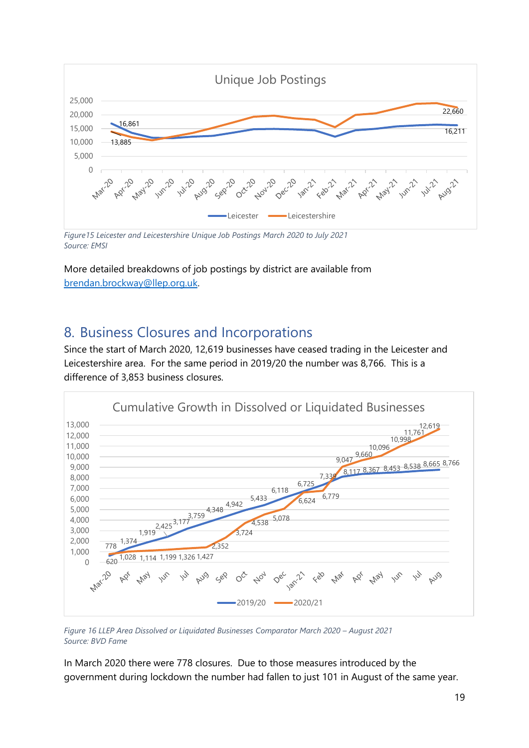

*Figure15 Leicester and Leicestershire Unique Job Postings March 2020 to July 2021 Source: EMSI*

More detailed breakdowns of job postings by district are available from [brendan.brockway@llep.org.uk.](mailto:brendan.brockway@llep.org.uk)

### <span id="page-18-0"></span>8. Business Closures and Incorporations

Since the start of March 2020, 12,619 businesses have ceased trading in the Leicester and Leicestershire area. For the same period in 2019/20 the number was 8,766. This is a difference of 3,853 business closures.



*Figure 16 LLEP Area Dissolved or Liquidated Businesses Comparator March 2020 – August 2021 Source: BVD Fame*

In March 2020 there were 778 closures. Due to those measures introduced by the government during lockdown the number had fallen to just 101 in August of the same year.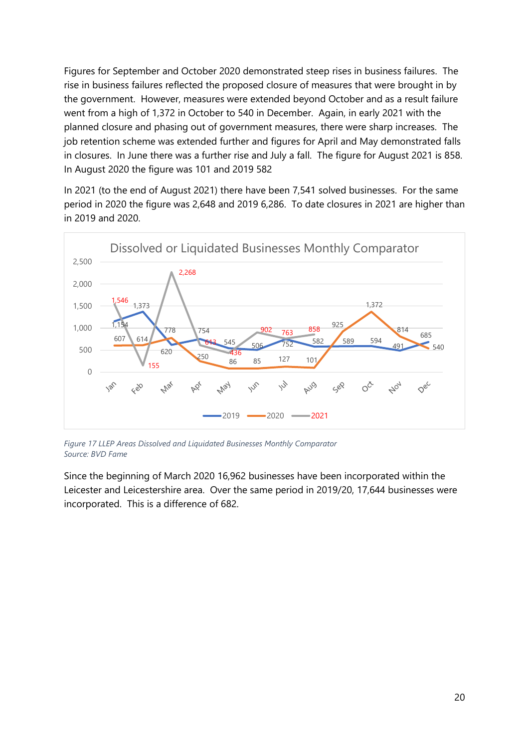Figures for September and October 2020 demonstrated steep rises in business failures. The rise in business failures reflected the proposed closure of measures that were brought in by the government. However, measures were extended beyond October and as a result failure went from a high of 1,372 in October to 540 in December. Again, in early 2021 with the planned closure and phasing out of government measures, there were sharp increases. The job retention scheme was extended further and figures for April and May demonstrated falls in closures. In June there was a further rise and July a fall. The figure for August 2021 is 858. In August 2020 the figure was 101 and 2019 582

In 2021 (to the end of August 2021) there have been 7,541 solved businesses. For the same period in 2020 the figure was 2,648 and 2019 6,286. To date closures in 2021 are higher than in 2019 and 2020.



*Figure 17 LLEP Areas Dissolved and Liquidated Businesses Monthly Comparator Source: BVD Fame*

Since the beginning of March 2020 16,962 businesses have been incorporated within the Leicester and Leicestershire area. Over the same period in 2019/20, 17,644 businesses were incorporated. This is a difference of 682.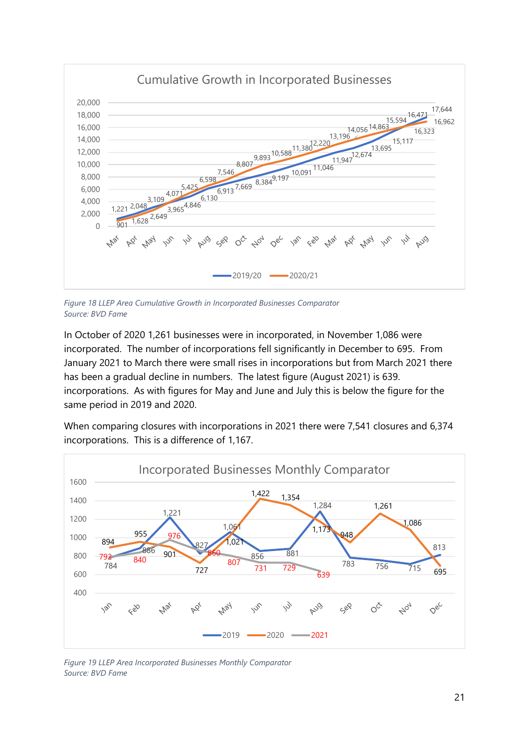

*Figure 18 LLEP Area Cumulative Growth in Incorporated Businesses Comparator Source: BVD Fame*

In October of 2020 1,261 businesses were in incorporated, in November 1,086 were incorporated. The number of incorporations fell significantly in December to 695. From January 2021 to March there were small rises in incorporations but from March 2021 there has been a gradual decline in numbers. The latest figure (August 2021) is 639. incorporations. As with figures for May and June and July this is below the figure for the same period in 2019 and 2020.

When comparing closures with incorporations in 2021 there were 7,541 closures and 6,374 incorporations. This is a difference of 1,167.



*Figure 19 LLEP Area Incorporated Businesses Monthly Comparator Source: BVD Fame*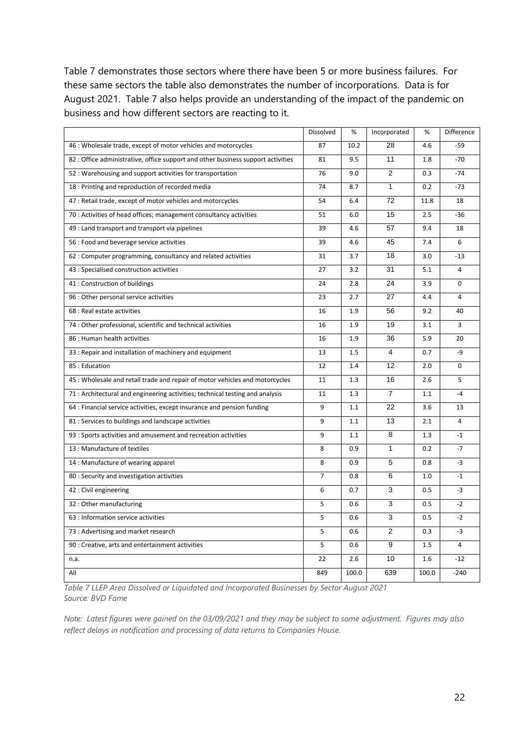Table 7 demonstrates those sectors where there have been 5 or more business failures. For these same sectors the table also demonstrates the number of incorporations. Data is for August 2021. Table 7 also helps provide an understanding of the impact of the pandemic on business and how different sectors are reacting to it.

|                                                                                  | Dissolved      | $\%$  | Incorporated   | $\%$  | Difference     |
|----------------------------------------------------------------------------------|----------------|-------|----------------|-------|----------------|
| 46 : Wholesale trade, except of motor vehicles and motorcycles                   | 87             | 10.2  | 28             | 4.6   | $-59$          |
| 82 : Office administrative, office support and other business support activities | 81             | 9.5   | 11             | 1.8   | $-70$          |
| 52 : Warehousing and support activities for transportation                       | 76             | 9.0   | 2              | 0.3   | $-74$          |
| 18 : Printing and reproduction of recorded media                                 | 74             | 8.7   | $\mathbf{1}$   | 0.2   | $-73$          |
| 47 : Retail trade, except of motor vehicles and motorcycles                      | 54             | 6.4   | 72             | 11.8  | 18             |
| 70 : Activities of head offices; management consultancy activities               | 51             | 6.0   | 15             | 2.5   | $-36$          |
| 49 : Land transport and transport via pipelines                                  | 39             | 4.6   | 57             | 9.4   | 18             |
| 56 : Food and beverage service activities                                        | 39             | 4.6   | 45             | 7.4   | 6              |
| 62 : Computer programming, consultancy and related activities                    | 31             | 3.7   | 18             | 3.0   | $-13$          |
| 43 : Specialised construction activities                                         | 27             | 3.2   | 31             | 5.1   | $\overline{a}$ |
| 41 : Construction of buildings                                                   | 24             | 2.8   | 24             | 3.9   | 0              |
| 96 : Other personal service activities                                           | 23             | 2.7   | 27             | 4.4   | 4              |
| 68 : Real estate activities                                                      | 16             | 1.9   | 56             | 9.2   | 40             |
| 74 : Other professional, scientific and technical activities                     | 16             | 1.9   | 19             | 3.1   | 3              |
| 86 : Human health activities                                                     | 16             | 1.9   | 36             | 5.9   | 20             |
| 33 : Repair and installation of machinery and equipment                          | 13             | 1.5   | 4              | 0.7   | -9             |
| 85: Education                                                                    | 12             | 1.4   | 12             | 2.0   | 0              |
| 45 : Wholesale and retail trade and repair of motor vehicles and motorcycles     | 11             | 1.3   | 16             | 2.6   | 5              |
| 71 : Architectural and engineering activities; technical testing and analysis    | 11             | 1.3   | $\overline{7}$ | 1.1   | $-4$           |
| 64 : Financial service activities, except insurance and pension funding          | 9              | 1.1   | 22             | 3.6   | 13             |
| 81 : Services to buildings and landscape activities                              | 9              | 1.1   | 13             | 2.1   | 4              |
| 93 : Sports activities and amusement and recreation activities                   | 9              | 1.1   | 8              | 1.3   | $-1$           |
| 13 : Manufacture of textiles                                                     | 8              | 0.9   | $\mathbf{1}$   | 0.2   | $-7$           |
| 14 : Manufacture of wearing apparel                                              | 8              | 0.9   | 5              | 0.8   | $-3$           |
| 80 : Security and investigation activities                                       | $\overline{7}$ | 0.8   | 6              | 1.0   | $-1$           |
| 42 : Civil engineering                                                           | 6              | 0.7   | 3              | 0.5   | $-3$           |
| 32 : Other manufacturing                                                         | 5              | 0.6   | 3              | 0.5   | $-2$           |
| 63 : Information service activities                                              | 5              | 0.6   | 3              | 0.5   | $-2$           |
| 73 : Advertising and market research                                             | 5              | 0.6   | $\overline{2}$ | 0.3   | $-3$           |
| 90 : Creative, arts and entertainment activities                                 | 5              | 0.6   | 9              | 1.5   | $\overline{a}$ |
| n.a.                                                                             | 22             | 2.6   | 10             | 1.6   | $-12$          |
| All                                                                              | 849            | 100.0 | 639            | 100.0 | $-240$         |

*Table 7 LLEP Area Dissolved or Liquidated and Incorporated Businesses by Sector August 2021 Source: BVD Fame*

*Note: Latest figures were gained on the 03/09/2021 and they may be subject to some adjustment. Figures may also reflect delays in notification and processing of data returns to Companies House.*